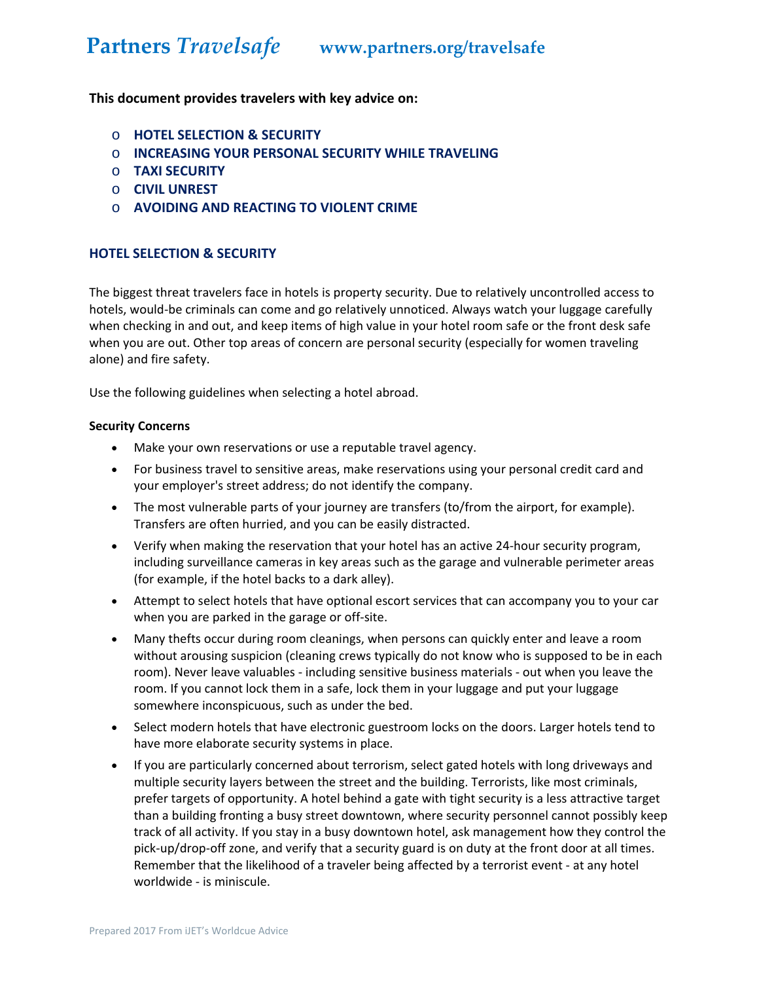### **This document provides travelers with key advice on:**

- o **HOTEL SELECTION & SECURITY**
- o **INCREASING YOUR PERSONAL SECURITY WHILE TRAVELING**
- o **TAXI SECURITY**
- o **CIVIL UNREST**
- o **AVOIDING AND REACTING TO VIOLENT CRIME**

### **HOTEL SELECTION & SECURITY**

The biggest threat travelers face in hotels is property security. Due to relatively uncontrolled access to hotels, would-be criminals can come and go relatively unnoticed. Always watch your luggage carefully when checking in and out, and keep items of high value in your hotel room safe or the front desk safe when you are out. Other top areas of concern are personal security (especially for women traveling alone) and fire safety.

Use the following guidelines when selecting a hotel abroad.

#### **Security Concerns**

- Make your own reservations or use a reputable travel agency.
- For business travel to sensitive areas, make reservations using your personal credit card and your employer's street address; do not identify the company.
- The most vulnerable parts of your journey are transfers (to/from the airport, for example). Transfers are often hurried, and you can be easily distracted.
- Verify when making the reservation that your hotel has an active 24‐hour security program, including surveillance cameras in key areas such as the garage and vulnerable perimeter areas (for example, if the hotel backs to a dark alley).
- Attempt to select hotels that have optional escort services that can accompany you to your car when you are parked in the garage or off-site.
- Many thefts occur during room cleanings, when persons can quickly enter and leave a room without arousing suspicion (cleaning crews typically do not know who is supposed to be in each room). Never leave valuables ‐ including sensitive business materials ‐ out when you leave the room. If you cannot lock them in a safe, lock them in your luggage and put your luggage somewhere inconspicuous, such as under the bed.
- Select modern hotels that have electronic guestroom locks on the doors. Larger hotels tend to have more elaborate security systems in place.
- If you are particularly concerned about terrorism, select gated hotels with long driveways and multiple security layers between the street and the building. Terrorists, like most criminals, prefer targets of opportunity. A hotel behind a gate with tight security is a less attractive target than a building fronting a busy street downtown, where security personnel cannot possibly keep track of all activity. If you stay in a busy downtown hotel, ask management how they control the pick‐up/drop‐off zone, and verify that a security guard is on duty at the front door at all times. Remember that the likelihood of a traveler being affected by a terrorist event ‐ at any hotel worldwide ‐ is miniscule.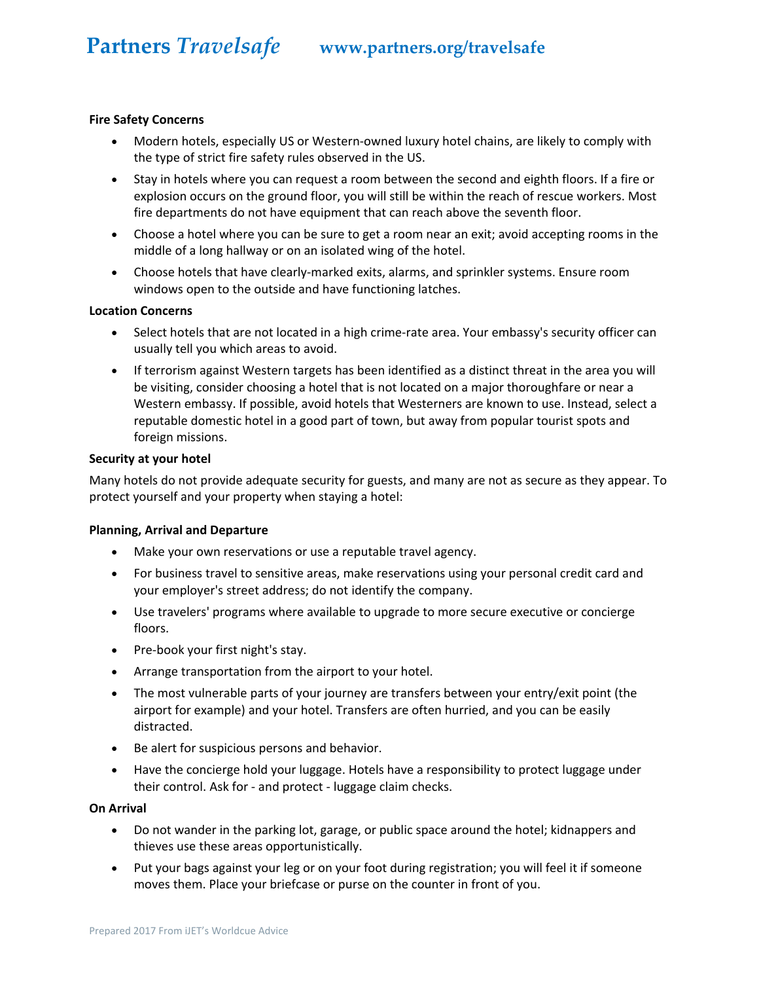#### **Fire Safety Concerns**

- Modern hotels, especially US or Western-owned luxury hotel chains, are likely to comply with the type of strict fire safety rules observed in the US.
- Stay in hotels where you can request a room between the second and eighth floors. If a fire or explosion occurs on the ground floor, you will still be within the reach of rescue workers. Most fire departments do not have equipment that can reach above the seventh floor.
- Choose a hotel where you can be sure to get a room near an exit; avoid accepting rooms in the middle of a long hallway or on an isolated wing of the hotel.
- Choose hotels that have clearly‐marked exits, alarms, and sprinkler systems. Ensure room windows open to the outside and have functioning latches.

#### **Location Concerns**

- Select hotels that are not located in a high crime-rate area. Your embassy's security officer can usually tell you which areas to avoid.
- If terrorism against Western targets has been identified as a distinct threat in the area you will be visiting, consider choosing a hotel that is not located on a major thoroughfare or near a Western embassy. If possible, avoid hotels that Westerners are known to use. Instead, select a reputable domestic hotel in a good part of town, but away from popular tourist spots and foreign missions.

#### **Security at your hotel**

Many hotels do not provide adequate security for guests, and many are not as secure as they appear. To protect yourself and your property when staying a hotel:

#### **Planning, Arrival and Departure**

- Make your own reservations or use a reputable travel agency.
- For business travel to sensitive areas, make reservations using your personal credit card and your employer's street address; do not identify the company.
- Use travelers' programs where available to upgrade to more secure executive or concierge floors.
- Pre-book your first night's stay.
- Arrange transportation from the airport to your hotel.
- The most vulnerable parts of your journey are transfers between your entry/exit point (the airport for example) and your hotel. Transfers are often hurried, and you can be easily distracted.
- Be alert for suspicious persons and behavior.
- Have the concierge hold your luggage. Hotels have a responsibility to protect luggage under their control. Ask for ‐ and protect ‐ luggage claim checks.

#### **On Arrival**

- Do not wander in the parking lot, garage, or public space around the hotel; kidnappers and thieves use these areas opportunistically.
- Put your bags against your leg or on your foot during registration; you will feel it if someone moves them. Place your briefcase or purse on the counter in front of you.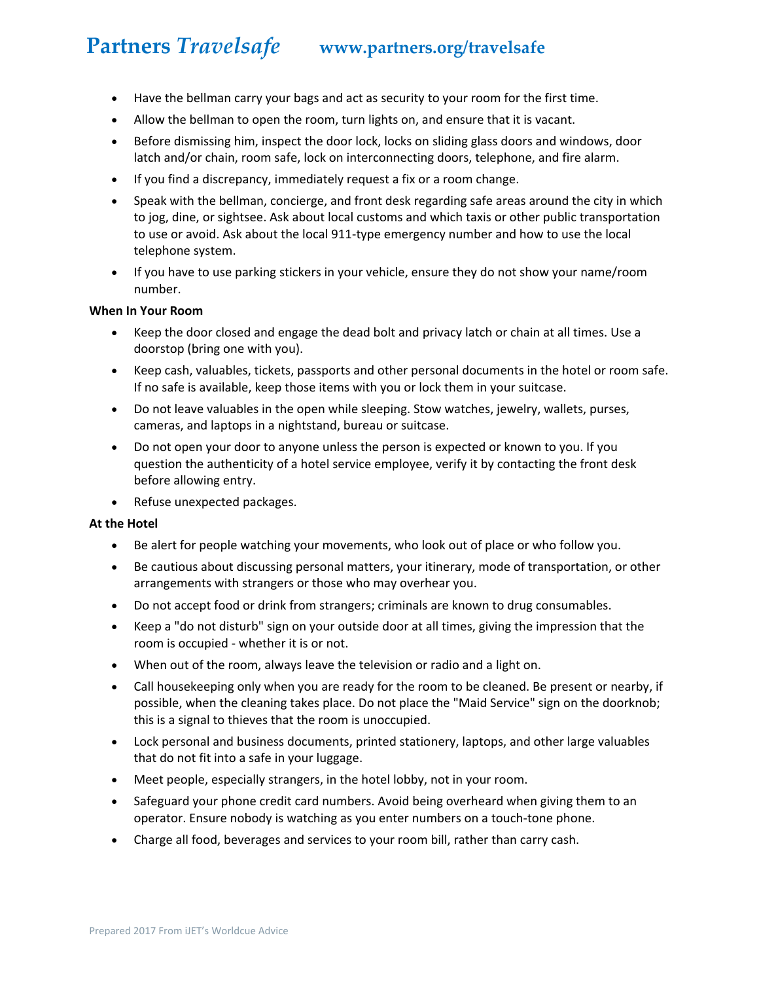- Have the bellman carry your bags and act as security to your room for the first time.
- Allow the bellman to open the room, turn lights on, and ensure that it is vacant.
- Before dismissing him, inspect the door lock, locks on sliding glass doors and windows, door latch and/or chain, room safe, lock on interconnecting doors, telephone, and fire alarm.
- If you find a discrepancy, immediately request a fix or a room change.
- Speak with the bellman, concierge, and front desk regarding safe areas around the city in which to jog, dine, or sightsee. Ask about local customs and which taxis or other public transportation to use or avoid. Ask about the local 911-type emergency number and how to use the local telephone system.
- If you have to use parking stickers in your vehicle, ensure they do not show your name/room number.

#### **When In Your Room**

- Keep the door closed and engage the dead bolt and privacy latch or chain at all times. Use a doorstop (bring one with you).
- Keep cash, valuables, tickets, passports and other personal documents in the hotel or room safe. If no safe is available, keep those items with you or lock them in your suitcase.
- Do not leave valuables in the open while sleeping. Stow watches, jewelry, wallets, purses, cameras, and laptops in a nightstand, bureau or suitcase.
- Do not open your door to anyone unless the person is expected or known to you. If you question the authenticity of a hotel service employee, verify it by contacting the front desk before allowing entry.
- Refuse unexpected packages.

#### **At the Hotel**

- Be alert for people watching your movements, who look out of place or who follow you.
- Be cautious about discussing personal matters, your itinerary, mode of transportation, or other arrangements with strangers or those who may overhear you.
- Do not accept food or drink from strangers; criminals are known to drug consumables.
- Keep a "do not disturb" sign on your outside door at all times, giving the impression that the room is occupied ‐ whether it is or not.
- When out of the room, always leave the television or radio and a light on.
- Call housekeeping only when you are ready for the room to be cleaned. Be present or nearby, if possible, when the cleaning takes place. Do not place the "Maid Service" sign on the doorknob; this is a signal to thieves that the room is unoccupied.
- Lock personal and business documents, printed stationery, laptops, and other large valuables that do not fit into a safe in your luggage.
- Meet people, especially strangers, in the hotel lobby, not in your room.
- Safeguard your phone credit card numbers. Avoid being overheard when giving them to an operator. Ensure nobody is watching as you enter numbers on a touch‐tone phone.
- Charge all food, beverages and services to your room bill, rather than carry cash.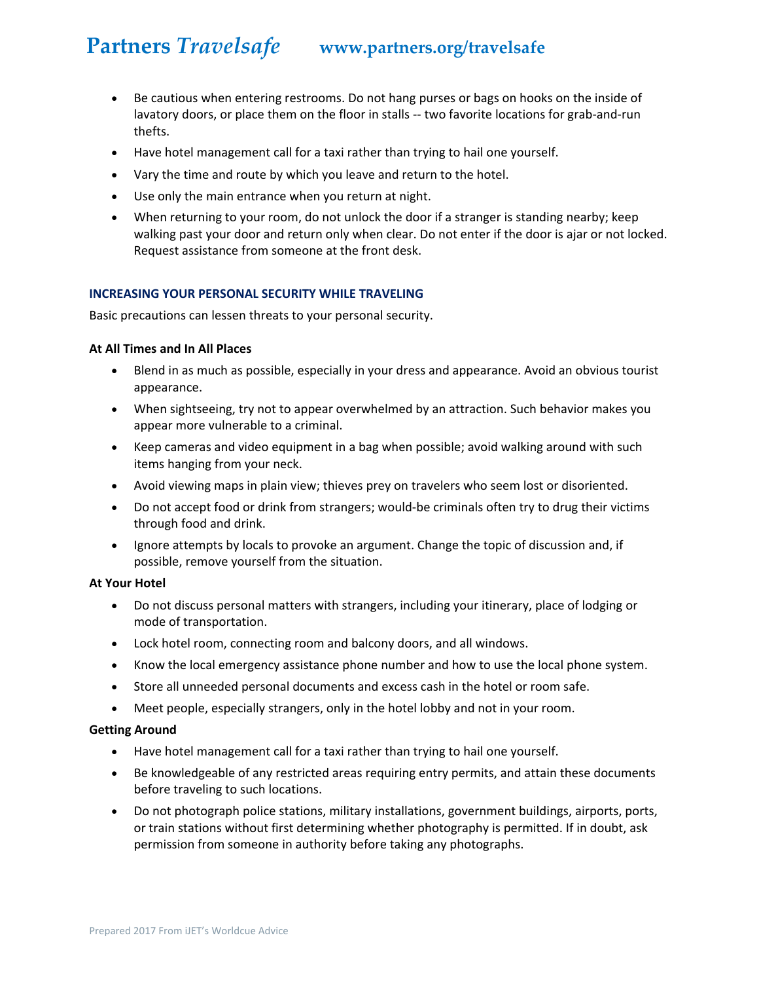- Be cautious when entering restrooms. Do not hang purses or bags on hooks on the inside of lavatory doors, or place them on the floor in stalls -- two favorite locations for grab-and-run thefts.
- Have hotel management call for a taxi rather than trying to hail one yourself.
- Vary the time and route by which you leave and return to the hotel.
- Use only the main entrance when you return at night.
- When returning to your room, do not unlock the door if a stranger is standing nearby; keep walking past your door and return only when clear. Do not enter if the door is ajar or not locked. Request assistance from someone at the front desk.

### **INCREASING YOUR PERSONAL SECURITY WHILE TRAVELING**

Basic precautions can lessen threats to your personal security.

#### **At All Times and In All Places**

- Blend in as much as possible, especially in your dress and appearance. Avoid an obvious tourist appearance.
- When sightseeing, try not to appear overwhelmed by an attraction. Such behavior makes you appear more vulnerable to a criminal.
- Keep cameras and video equipment in a bag when possible; avoid walking around with such items hanging from your neck.
- Avoid viewing maps in plain view; thieves prey on travelers who seem lost or disoriented.
- Do not accept food or drink from strangers; would-be criminals often try to drug their victims through food and drink.
- Ignore attempts by locals to provoke an argument. Change the topic of discussion and, if possible, remove yourself from the situation.

#### **At Your Hotel**

- Do not discuss personal matters with strangers, including your itinerary, place of lodging or mode of transportation.
- Lock hotel room, connecting room and balcony doors, and all windows.
- Know the local emergency assistance phone number and how to use the local phone system.
- Store all unneeded personal documents and excess cash in the hotel or room safe.
- Meet people, especially strangers, only in the hotel lobby and not in your room.

#### **Getting Around**

- Have hotel management call for a taxi rather than trying to hail one yourself.
- Be knowledgeable of any restricted areas requiring entry permits, and attain these documents before traveling to such locations.
- Do not photograph police stations, military installations, government buildings, airports, ports, or train stations without first determining whether photography is permitted. If in doubt, ask permission from someone in authority before taking any photographs.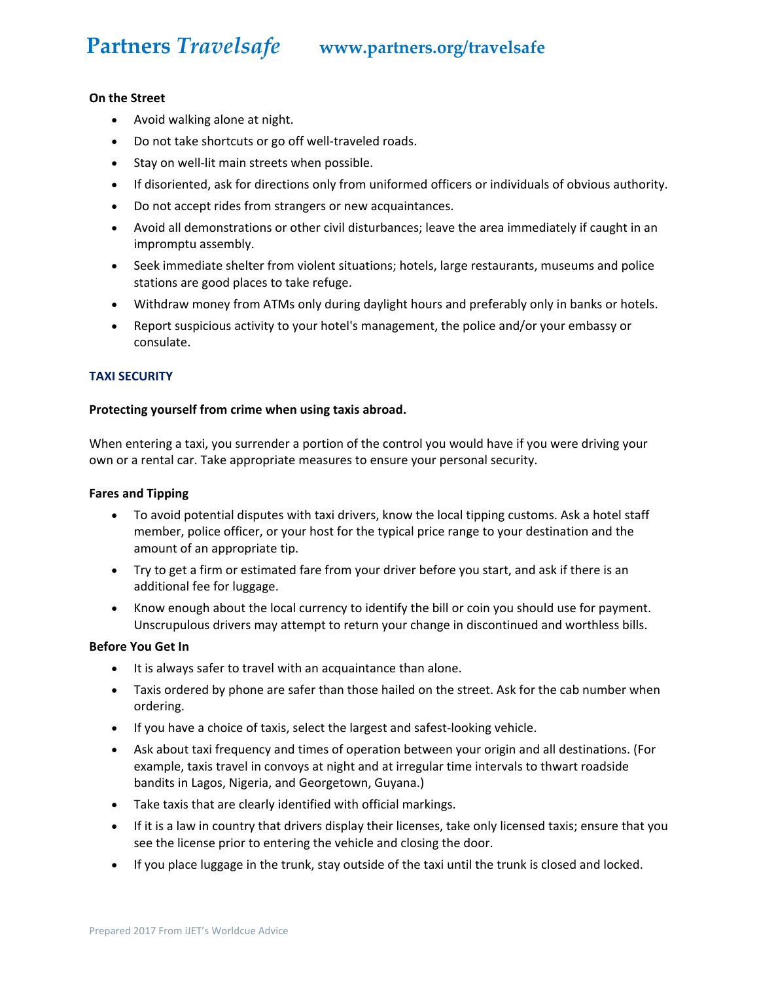#### **On the Street**

- Avoid walking alone at night.
- Do not take shortcuts or go off well-traveled roads.
- Stay on well-lit main streets when possible.
- If disoriented, ask for directions only from uniformed officers or individuals of obvious authority.
- Do not accept rides from strangers or new acquaintances.
- Avoid all demonstrations or other civil disturbances; leave the area immediately if caught in an impromptu assembly.
- Seek immediate shelter from violent situations; hotels, large restaurants, museums and police stations are good places to take refuge.
- Withdraw money from ATMs only during daylight hours and preferably only in banks or hotels.
- Report suspicious activity to your hotel's management, the police and/or your embassy or consulate.

#### **TAXI SECURITY**

#### **Protecting yourself from crime when using taxis abroad.**

When entering a taxi, you surrender a portion of the control you would have if you were driving your own or a rental car. Take appropriate measures to ensure your personal security.

#### **Fares and Tipping**

- To avoid potential disputes with taxi drivers, know the local tipping customs. Ask a hotel staff member, police officer, or your host for the typical price range to your destination and the amount of an appropriate tip.
- Try to get a firm or estimated fare from your driver before you start, and ask if there is an additional fee for luggage.
- Know enough about the local currency to identify the bill or coin you should use for payment. Unscrupulous drivers may attempt to return your change in discontinued and worthless bills.

#### **Before You Get In**

- It is always safer to travel with an acquaintance than alone.
- Taxis ordered by phone are safer than those hailed on the street. Ask for the cab number when ordering.
- If you have a choice of taxis, select the largest and safest-looking vehicle.
- Ask about taxi frequency and times of operation between your origin and all destinations. (For example, taxis travel in convoys at night and at irregular time intervals to thwart roadside bandits in Lagos, Nigeria, and Georgetown, Guyana.)
- Take taxis that are clearly identified with official markings.
- If it is a law in country that drivers display their licenses, take only licensed taxis; ensure that you see the license prior to entering the vehicle and closing the door.
- If you place luggage in the trunk, stay outside of the taxi until the trunk is closed and locked.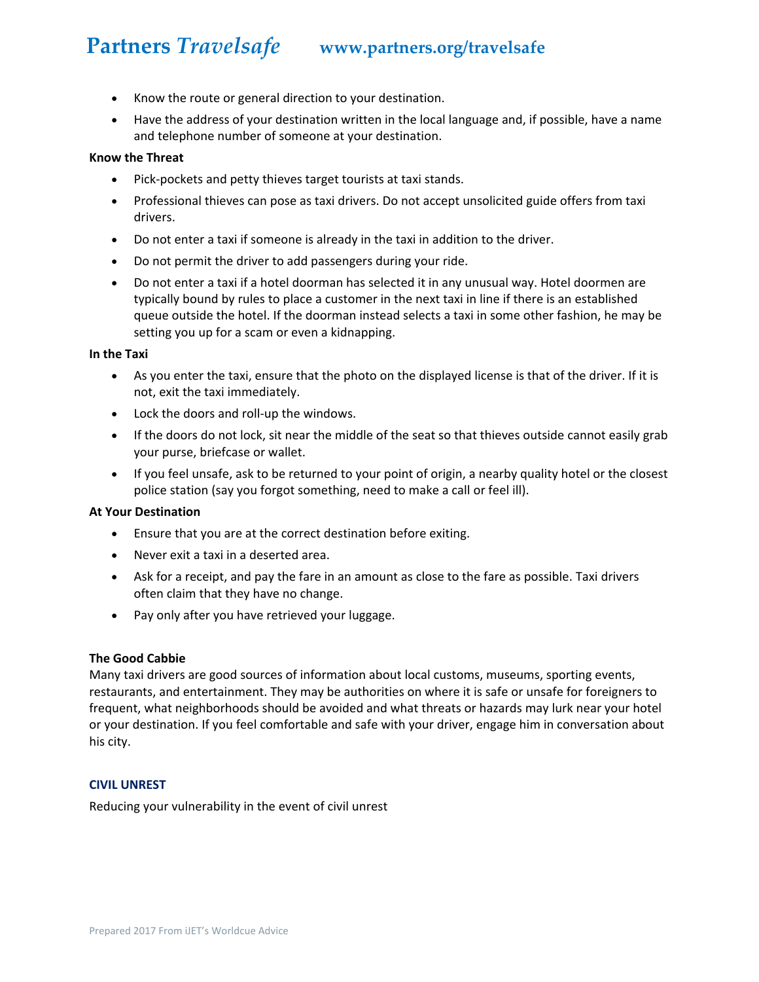- Know the route or general direction to your destination.
- Have the address of your destination written in the local language and, if possible, have a name and telephone number of someone at your destination.

#### **Know the Threat**

- Pick‐pockets and petty thieves target tourists at taxi stands.
- Professional thieves can pose as taxi drivers. Do not accept unsolicited guide offers from taxi drivers.
- Do not enter a taxi if someone is already in the taxi in addition to the driver.
- Do not permit the driver to add passengers during your ride.
- Do not enter a taxi if a hotel doorman has selected it in any unusual way. Hotel doormen are typically bound by rules to place a customer in the next taxi in line if there is an established queue outside the hotel. If the doorman instead selects a taxi in some other fashion, he may be setting you up for a scam or even a kidnapping.

#### **In the Taxi**

- As you enter the taxi, ensure that the photo on the displayed license is that of the driver. If it is not, exit the taxi immediately.
- Lock the doors and roll-up the windows.
- If the doors do not lock, sit near the middle of the seat so that thieves outside cannot easily grab your purse, briefcase or wallet.
- If you feel unsafe, ask to be returned to your point of origin, a nearby quality hotel or the closest police station (say you forgot something, need to make a call or feel ill).

#### **At Your Destination**

- Ensure that you are at the correct destination before exiting.
- Never exit a taxi in a deserted area.
- Ask for a receipt, and pay the fare in an amount as close to the fare as possible. Taxi drivers often claim that they have no change.
- Pay only after you have retrieved your luggage.

#### **The Good Cabbie**

Many taxi drivers are good sources of information about local customs, museums, sporting events, restaurants, and entertainment. They may be authorities on where it is safe or unsafe for foreigners to frequent, what neighborhoods should be avoided and what threats or hazards may lurk near your hotel or your destination. If you feel comfortable and safe with your driver, engage him in conversation about his city.

#### **CIVIL UNREST**

Reducing your vulnerability in the event of civil unrest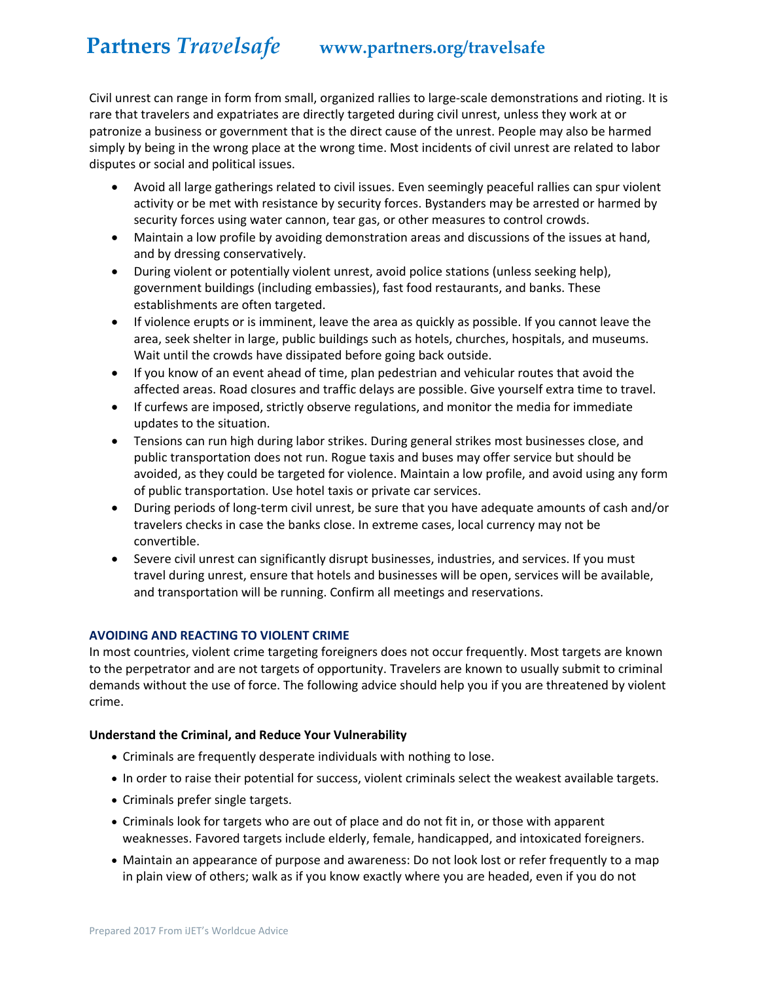Civil unrest can range in form from small, organized rallies to large‐scale demonstrations and rioting. It is rare that travelers and expatriates are directly targeted during civil unrest, unless they work at or patronize a business or government that is the direct cause of the unrest. People may also be harmed simply by being in the wrong place at the wrong time. Most incidents of civil unrest are related to labor disputes or social and political issues.

- Avoid all large gatherings related to civil issues. Even seemingly peaceful rallies can spur violent activity or be met with resistance by security forces. Bystanders may be arrested or harmed by security forces using water cannon, tear gas, or other measures to control crowds.
- Maintain a low profile by avoiding demonstration areas and discussions of the issues at hand, and by dressing conservatively.
- During violent or potentially violent unrest, avoid police stations (unless seeking help), government buildings (including embassies), fast food restaurants, and banks. These establishments are often targeted.
- If violence erupts or is imminent, leave the area as quickly as possible. If you cannot leave the area, seek shelter in large, public buildings such as hotels, churches, hospitals, and museums. Wait until the crowds have dissipated before going back outside.
- If you know of an event ahead of time, plan pedestrian and vehicular routes that avoid the affected areas. Road closures and traffic delays are possible. Give yourself extra time to travel.
- If curfews are imposed, strictly observe regulations, and monitor the media for immediate updates to the situation.
- Tensions can run high during labor strikes. During general strikes most businesses close, and public transportation does not run. Rogue taxis and buses may offer service but should be avoided, as they could be targeted for violence. Maintain a low profile, and avoid using any form of public transportation. Use hotel taxis or private car services.
- During periods of long‐term civil unrest, be sure that you have adequate amounts of cash and/or travelers checks in case the banks close. In extreme cases, local currency may not be convertible.
- Severe civil unrest can significantly disrupt businesses, industries, and services. If you must travel during unrest, ensure that hotels and businesses will be open, services will be available, and transportation will be running. Confirm all meetings and reservations.

### **AVOIDING AND REACTING TO VIOLENT CRIME**

In most countries, violent crime targeting foreigners does not occur frequently. Most targets are known to the perpetrator and are not targets of opportunity. Travelers are known to usually submit to criminal demands without the use of force. The following advice should help you if you are threatened by violent crime.

### **Understand the Criminal, and Reduce Your Vulnerability**

- Criminals are frequently desperate individuals with nothing to lose.
- In order to raise their potential for success, violent criminals select the weakest available targets.
- Criminals prefer single targets.
- Criminals look for targets who are out of place and do not fit in, or those with apparent weaknesses. Favored targets include elderly, female, handicapped, and intoxicated foreigners.
- Maintain an appearance of purpose and awareness: Do not look lost or refer frequently to a map in plain view of others; walk as if you know exactly where you are headed, even if you do not